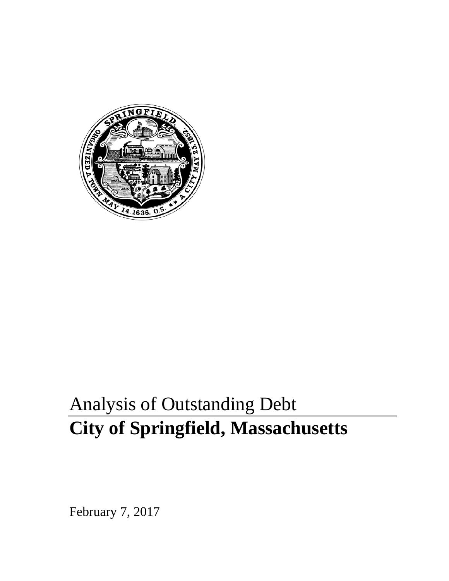

# Analysis of Outstanding Debt **City of Springfield, Massachusetts**

February 7, 2017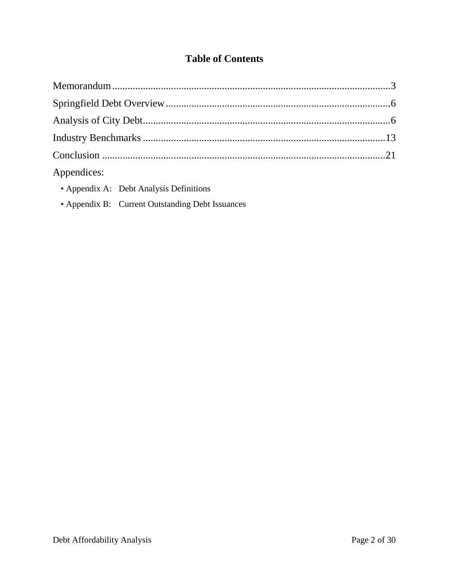## **Table of Contents**

| Appendices: |  |
|-------------|--|

- Appendix A: Debt Analysis Definitions
- Appendix B: Current Outstanding Debt Issuances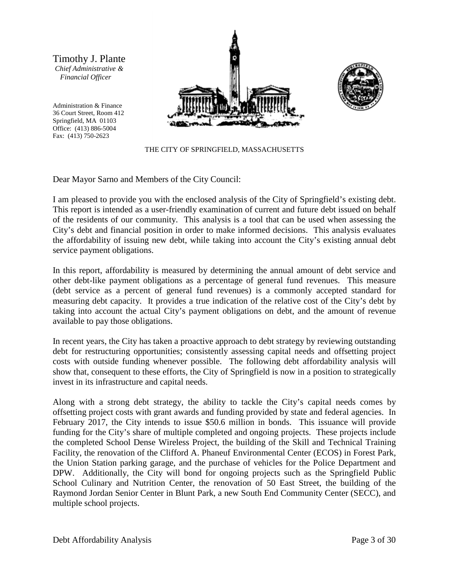Timothy J. Plante *Chief Administrative & Financial Officer*

Administration & Finance 36 Court Street, Room 412 Springfield, MA 01103 Office: (413) 886-5004 Fax: (413) 750-2623





THE CITY OF SPRINGFIELD, MASSACHUSETTS

Dear Mayor Sarno and Members of the City Council:

I am pleased to provide you with the enclosed analysis of the City of Springfield's existing debt. This report is intended as a user-friendly examination of current and future debt issued on behalf of the residents of our community. This analysis is a tool that can be used when assessing the City's debt and financial position in order to make informed decisions. This analysis evaluates the affordability of issuing new debt, while taking into account the City's existing annual debt service payment obligations.

In this report, affordability is measured by determining the annual amount of debt service and other debt-like payment obligations as a percentage of general fund revenues. This measure (debt service as a percent of general fund revenues) is a commonly accepted standard for measuring debt capacity. It provides a true indication of the relative cost of the City's debt by taking into account the actual City's payment obligations on debt, and the amount of revenue available to pay those obligations.

In recent years, the City has taken a proactive approach to debt strategy by reviewing outstanding debt for restructuring opportunities; consistently assessing capital needs and offsetting project costs with outside funding whenever possible. The following debt affordability analysis will show that, consequent to these efforts, the City of Springfield is now in a position to strategically invest in its infrastructure and capital needs.

Along with a strong debt strategy, the ability to tackle the City's capital needs comes by offsetting project costs with grant awards and funding provided by state and federal agencies. In February 2017, the City intends to issue \$50.6 million in bonds. This issuance will provide funding for the City's share of multiple completed and ongoing projects. These projects include the completed School Dense Wireless Project, the building of the Skill and Technical Training Facility, the renovation of the Clifford A. Phaneuf Environmental Center (ECOS) in Forest Park, the Union Station parking garage, and the purchase of vehicles for the Police Department and DPW. Additionally, the City will bond for ongoing projects such as the Springfield Public School Culinary and Nutrition Center, the renovation of 50 East Street, the building of the Raymond Jordan Senior Center in Blunt Park, a new South End Community Center (SECC), and multiple school projects.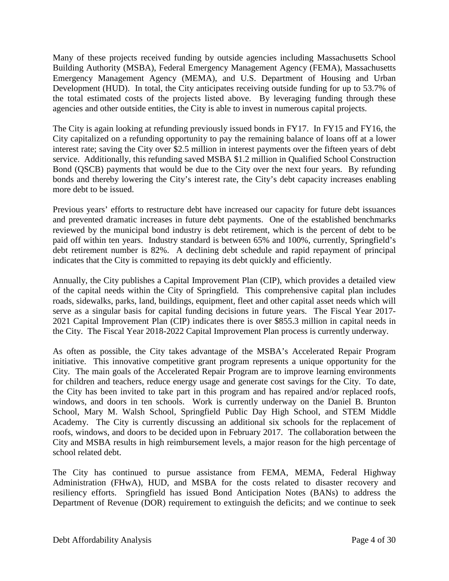Many of these projects received funding by outside agencies including Massachusetts School Building Authority (MSBA), Federal Emergency Management Agency (FEMA), Massachusetts Emergency Management Agency (MEMA), and U.S. Department of Housing and Urban Development (HUD). In total, the City anticipates receiving outside funding for up to 53.7% of the total estimated costs of the projects listed above. By leveraging funding through these agencies and other outside entities, the City is able to invest in numerous capital projects.

The City is again looking at refunding previously issued bonds in FY17. In FY15 and FY16, the City capitalized on a refunding opportunity to pay the remaining balance of loans off at a lower interest rate; saving the City over \$2.5 million in interest payments over the fifteen years of debt service. Additionally, this refunding saved MSBA \$1.2 million in Qualified School Construction Bond (QSCB) payments that would be due to the City over the next four years. By refunding bonds and thereby lowering the City's interest rate, the City's debt capacity increases enabling more debt to be issued.

Previous years' efforts to restructure debt have increased our capacity for future debt issuances and prevented dramatic increases in future debt payments. One of the established benchmarks reviewed by the municipal bond industry is debt retirement, which is the percent of debt to be paid off within ten years. Industry standard is between 65% and 100%, currently, Springfield's debt retirement number is 82%. A declining debt schedule and rapid repayment of principal indicates that the City is committed to repaying its debt quickly and efficiently.

Annually, the City publishes a Capital Improvement Plan (CIP), which provides a detailed view of the capital needs within the City of Springfield. This comprehensive capital plan includes roads, sidewalks, parks, land, buildings, equipment, fleet and other capital asset needs which will serve as a singular basis for capital funding decisions in future years. The Fiscal Year 2017- 2021 Capital Improvement Plan (CIP) indicates there is over \$855.3 million in capital needs in the City. The Fiscal Year 2018-2022 Capital Improvement Plan process is currently underway.

As often as possible, the City takes advantage of the MSBA's Accelerated Repair Program initiative. This innovative competitive grant program represents a unique opportunity for the City. The main goals of the Accelerated Repair Program are to improve learning environments for children and teachers, reduce energy usage and generate cost savings for the City. To date, the City has been invited to take part in this program and has repaired and/or replaced roofs, windows, and doors in ten schools. Work is currently underway on the Daniel B. Brunton School, Mary M. Walsh School, Springfield Public Day High School, and STEM Middle Academy. The City is currently discussing an additional six schools for the replacement of roofs, windows, and doors to be decided upon in February 2017. The collaboration between the City and MSBA results in high reimbursement levels, a major reason for the high percentage of school related debt.

The City has continued to pursue assistance from FEMA, MEMA, Federal Highway Administration (FHwA), HUD, and MSBA for the costs related to disaster recovery and resiliency efforts. Springfield has issued Bond Anticipation Notes (BANs) to address the Department of Revenue (DOR) requirement to extinguish the deficits; and we continue to seek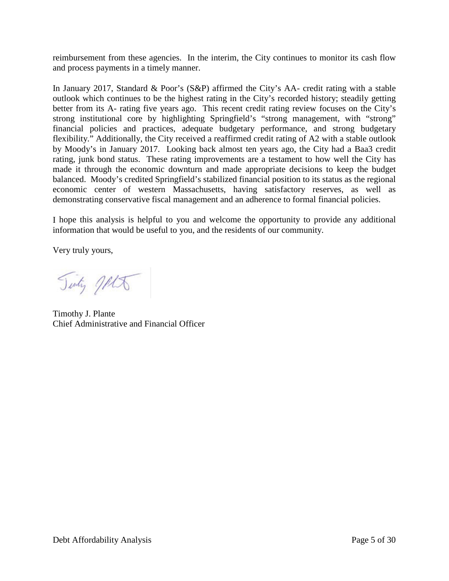reimbursement from these agencies. In the interim, the City continues to monitor its cash flow and process payments in a timely manner.

In January 2017, Standard & Poor's (S&P) affirmed the City's AA- credit rating with a stable outlook which continues to be the highest rating in the City's recorded history; steadily getting better from its A- rating five years ago. This recent credit rating review focuses on the City's strong institutional core by highlighting Springfield's "strong management, with "strong" financial policies and practices, adequate budgetary performance, and strong budgetary flexibility." Additionally, the City received a reaffirmed credit rating of A2 with a stable outlook by Moody's in January 2017. Looking back almost ten years ago, the City had a Baa3 credit rating, junk bond status. These rating improvements are a testament to how well the City has made it through the economic downturn and made appropriate decisions to keep the budget balanced. Moody's credited Springfield's stabilized financial position to its status as the regional economic center of western Massachusetts, having satisfactory reserves, as well as demonstrating conservative fiscal management and an adherence to formal financial policies.

I hope this analysis is helpful to you and welcome the opportunity to provide any additional information that would be useful to you, and the residents of our community.

Very truly yours,

Tinty Jets

Timothy J. Plante Chief Administrative and Financial Officer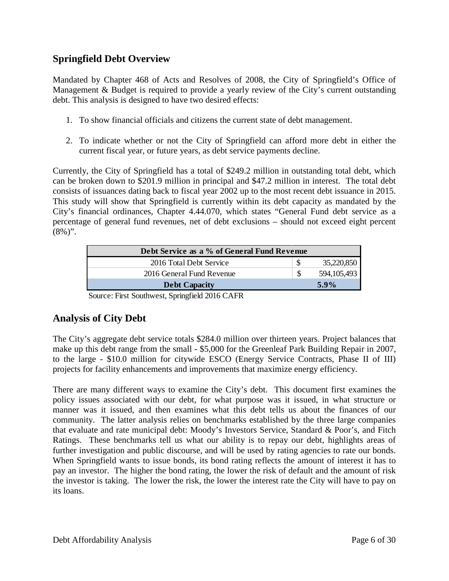### **Springfield Debt Overview**

Mandated by Chapter 468 of Acts and Resolves of 2008, the City of Springfield's Office of Management & Budget is required to provide a yearly review of the City's current outstanding debt. This analysis is designed to have two desired effects:

- 1. To show financial officials and citizens the current state of debt management.
- 2. To indicate whether or not the City of Springfield can afford more debt in either the current fiscal year, or future years, as debt service payments decline.

Currently, the City of Springfield has a total of \$249.2 million in outstanding total debt, which can be broken down to \$201.9 million in principal and \$47.2 million in interest. The total debt consists of issuances dating back to fiscal year 2002 up to the most recent debt issuance in 2015. This study will show that Springfield is currently within its debt capacity as mandated by the City's financial ordinances, Chapter 4.44.070, which states "General Fund debt service as a percentage of general fund revenues, net of debt exclusions – should not exceed eight percent  $(8\%)$ ".

| Debt Service as a % of General Fund Revenue |  |             |
|---------------------------------------------|--|-------------|
| 2016 Total Debt Service                     |  | 35,220,850  |
| 2016 General Fund Revenue                   |  | 594,105,493 |
| <b>Debt Capacity</b>                        |  | $5.9\%$     |

Source: First Southwest, Springfield 2016 CAFR

## **Analysis of City Debt**

The City's aggregate debt service totals \$284.0 million over thirteen years. Project balances that make up this debt range from the small - \$5,000 for the Greenleaf Park Building Repair in 2007, to the large - \$10.0 million for citywide ESCO (Energy Service Contracts, Phase II of III) projects for facility enhancements and improvements that maximize energy efficiency.

There are many different ways to examine the City's debt. This document first examines the policy issues associated with our debt, for what purpose was it issued, in what structure or manner was it issued, and then examines what this debt tells us about the finances of our community. The latter analysis relies on benchmarks established by the three large companies that evaluate and rate municipal debt: Moody's Investors Service, Standard & Poor's, and Fitch Ratings. These benchmarks tell us what our ability is to repay our debt, highlights areas of further investigation and public discourse, and will be used by rating agencies to rate our bonds. When Springfield wants to issue bonds, its bond rating reflects the amount of interest it has to pay an investor. The higher the bond rating, the lower the risk of default and the amount of risk the investor is taking. The lower the risk, the lower the interest rate the City will have to pay on its loans.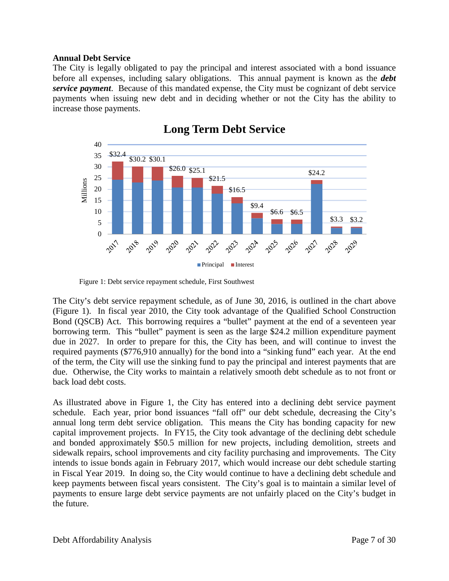#### **Annual Debt Service**

The City is legally obligated to pay the principal and interest associated with a bond issuance before all expenses, including salary obligations. This annual payment is known as the *debt service payment*. Because of this mandated expense, the City must be cognizant of debt service payments when issuing new debt and in deciding whether or not the City has the ability to increase those payments.



## **Long Term Debt Service**

Figure 1: Debt service repayment schedule, First Southwest

The City's debt service repayment schedule, as of June 30, 2016, is outlined in the chart above (Figure 1). In fiscal year 2010, the City took advantage of the Qualified School Construction Bond (QSCB) Act. This borrowing requires a "bullet" payment at the end of a seventeen year borrowing term. This "bullet" payment is seen as the large \$24.2 million expenditure payment due in 2027. In order to prepare for this, the City has been, and will continue to invest the required payments (\$776,910 annually) for the bond into a "sinking fund" each year. At the end of the term, the City will use the sinking fund to pay the principal and interest payments that are due. Otherwise, the City works to maintain a relatively smooth debt schedule as to not front or back load debt costs.

As illustrated above in Figure 1, the City has entered into a declining debt service payment schedule. Each year, prior bond issuances "fall off" our debt schedule, decreasing the City's annual long term debt service obligation. This means the City has bonding capacity for new capital improvement projects. In FY15, the City took advantage of the declining debt schedule and bonded approximately \$50.5 million for new projects, including demolition, streets and sidewalk repairs, school improvements and city facility purchasing and improvements. The City intends to issue bonds again in February 2017, which would increase our debt schedule starting in Fiscal Year 2019. In doing so, the City would continue to have a declining debt schedule and keep payments between fiscal years consistent. The City's goal is to maintain a similar level of payments to ensure large debt service payments are not unfairly placed on the City's budget in the future.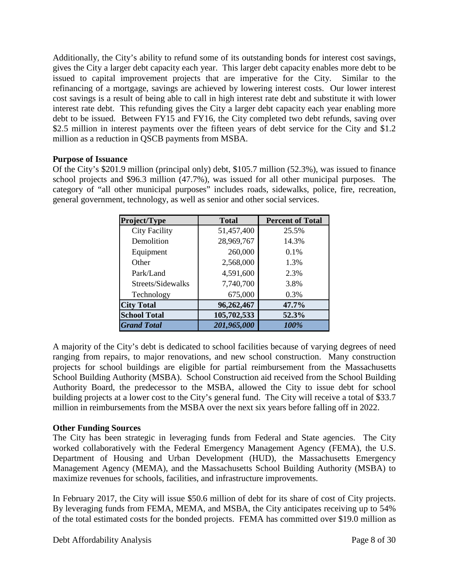Additionally, the City's ability to refund some of its outstanding bonds for interest cost savings, gives the City a larger debt capacity each year. This larger debt capacity enables more debt to be issued to capital improvement projects that are imperative for the City. Similar to the refinancing of a mortgage, savings are achieved by lowering interest costs. Our lower interest cost savings is a result of being able to call in high interest rate debt and substitute it with lower interest rate debt. This refunding gives the City a larger debt capacity each year enabling more debt to be issued. Between FY15 and FY16, the City completed two debt refunds, saving over \$2.5 million in interest payments over the fifteen years of debt service for the City and \$1.2 million as a reduction in QSCB payments from MSBA.

#### **Purpose of Issuance**

Of the City's \$201.9 million (principal only) debt, \$105.7 million (52.3%), was issued to finance school projects and \$96.3 million (47.7%), was issued for all other municipal purposes. The category of "all other municipal purposes" includes roads, sidewalks, police, fire, recreation, general government, technology, as well as senior and other social services.

| Project/Type         | <b>Total</b> | <b>Percent of Total</b> |
|----------------------|--------------|-------------------------|
| <b>City Facility</b> | 51,457,400   | 25.5%                   |
| Demolition           | 28,969,767   | 14.3%                   |
| Equipment            | 260,000      | 0.1%                    |
| Other                | 2,568,000    | 1.3%                    |
| Park/Land            | 4,591,600    | 2.3%                    |
| Streets/Sidewalks    | 7,740,700    | 3.8%                    |
| Technology           | 675,000      | 0.3%                    |
| <b>City Total</b>    | 96,262,467   | 47.7%                   |
| <b>School Total</b>  | 105,702,533  | 52.3%                   |
| <b>Grand Total</b>   | 201,965,000  | 100%                    |

A majority of the City's debt is dedicated to school facilities because of varying degrees of need ranging from repairs, to major renovations, and new school construction. Many construction projects for school buildings are eligible for partial reimbursement from the Massachusetts School Building Authority (MSBA). School Construction aid received from the School Building Authority Board, the predecessor to the MSBA, allowed the City to issue debt for school building projects at a lower cost to the City's general fund. The City will receive a total of \$33.7 million in reimbursements from the MSBA over the next six years before falling off in 2022.

#### **Other Funding Sources**

The City has been strategic in leveraging funds from Federal and State agencies. The City worked collaboratively with the Federal Emergency Management Agency (FEMA), the U.S. Department of Housing and Urban Development (HUD), the Massachusetts Emergency Management Agency (MEMA), and the Massachusetts School Building Authority (MSBA) to maximize revenues for schools, facilities, and infrastructure improvements.

In February 2017, the City will issue \$50.6 million of debt for its share of cost of City projects. By leveraging funds from FEMA, MEMA, and MSBA, the City anticipates receiving up to 54% of the total estimated costs for the bonded projects. FEMA has committed over \$19.0 million as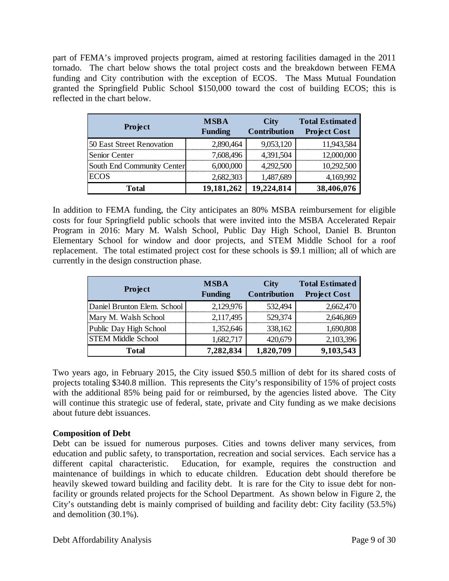part of FEMA's improved projects program, aimed at restoring facilities damaged in the 2011 tornado. The chart below shows the total project costs and the breakdown between FEMA funding and City contribution with the exception of ECOS. The Mass Mutual Foundation granted the Springfield Public School \$150,000 toward the cost of building ECOS; this is reflected in the chart below.

| Project                    | <b>MSBA</b><br><b>Funding</b> | <b>City</b><br><b>Contribution</b> | <b>Total Estimated</b><br><b>Project Cost</b> |
|----------------------------|-------------------------------|------------------------------------|-----------------------------------------------|
| 50 East Street Renovation  | 2,890,464                     | 9,053,120                          | 11,943,584                                    |
| Senior Center              | 7,608,496                     | 4,391,504                          | 12,000,000                                    |
| South End Community Center | 6,000,000                     | 4,292,500                          | 10,292,500                                    |
| <b>ECOS</b>                | 2,682,303                     | 1,487,689                          | 4,169,992                                     |
| Total                      | 19,181,262                    | 19,224,814                         | 38,406,076                                    |

In addition to FEMA funding, the City anticipates an 80% MSBA reimbursement for eligible costs for four Springfield public schools that were invited into the MSBA Accelerated Repair Program in 2016: Mary M. Walsh School, Public Day High School, Daniel B. Brunton Elementary School for window and door projects, and STEM Middle School for a roof replacement. The total estimated project cost for these schools is \$9.1 million; all of which are currently in the design construction phase.

| Project                     | <b>MSBA</b><br><b>Funding</b> | <b>City</b><br><b>Contribution</b> | <b>Total Estimated</b><br><b>Project Cost</b> |
|-----------------------------|-------------------------------|------------------------------------|-----------------------------------------------|
| Daniel Brunton Elem. School | 2,129,976                     | 532,494                            | 2,662,470                                     |
| Mary M. Walsh School        | 2,117,495                     | 529,374                            | 2,646,869                                     |
| Public Day High School      | 1,352,646                     | 338,162                            | 1,690,808                                     |
| <b>STEM Middle School</b>   | 1,682,717                     | 420,679                            | 2,103,396                                     |
| Total                       | 7,282,834                     | 1,820,709                          | 9,103,543                                     |

Two years ago, in February 2015, the City issued \$50.5 million of debt for its shared costs of projects totaling \$340.8 million. This represents the City's responsibility of 15% of project costs with the additional 85% being paid for or reimbursed, by the agencies listed above. The City will continue this strategic use of federal, state, private and City funding as we make decisions about future debt issuances.

#### **Composition of Debt**

Debt can be issued for numerous purposes. Cities and towns deliver many services, from education and public safety, to transportation, recreation and social services. Each service has a different capital characteristic. Education, for example, requires the construction and maintenance of buildings in which to educate children. Education debt should therefore be heavily skewed toward building and facility debt. It is rare for the City to issue debt for nonfacility or grounds related projects for the School Department. As shown below in Figure 2, the City's outstanding debt is mainly comprised of building and facility debt: City facility (53.5%) and demolition (30.1%).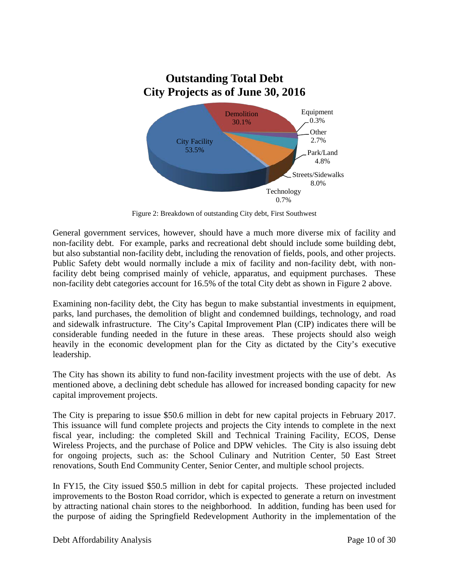

Figure 2: Breakdown of outstanding City debt, First Southwest

General government services, however, should have a much more diverse mix of facility and non-facility debt. For example, parks and recreational debt should include some building debt, but also substantial non-facility debt, including the renovation of fields, pools, and other projects. Public Safety debt would normally include a mix of facility and non-facility debt, with nonfacility debt being comprised mainly of vehicle, apparatus, and equipment purchases. These non-facility debt categories account for 16.5% of the total City debt as shown in Figure 2 above.

Examining non-facility debt, the City has begun to make substantial investments in equipment, parks, land purchases, the demolition of blight and condemned buildings, technology, and road and sidewalk infrastructure. The City's Capital Improvement Plan (CIP) indicates there will be considerable funding needed in the future in these areas. These projects should also weigh heavily in the economic development plan for the City as dictated by the City's executive leadership.

The City has shown its ability to fund non-facility investment projects with the use of debt. As mentioned above, a declining debt schedule has allowed for increased bonding capacity for new capital improvement projects.

The City is preparing to issue \$50.6 million in debt for new capital projects in February 2017. This issuance will fund complete projects and projects the City intends to complete in the next fiscal year, including: the completed Skill and Technical Training Facility, ECOS, Dense Wireless Projects, and the purchase of Police and DPW vehicles. The City is also issuing debt for ongoing projects, such as: the School Culinary and Nutrition Center, 50 East Street renovations, South End Community Center, Senior Center, and multiple school projects.

In FY15, the City issued \$50.5 million in debt for capital projects. These projected included improvements to the Boston Road corridor, which is expected to generate a return on investment by attracting national chain stores to the neighborhood. In addition, funding has been used for the purpose of aiding the Springfield Redevelopment Authority in the implementation of the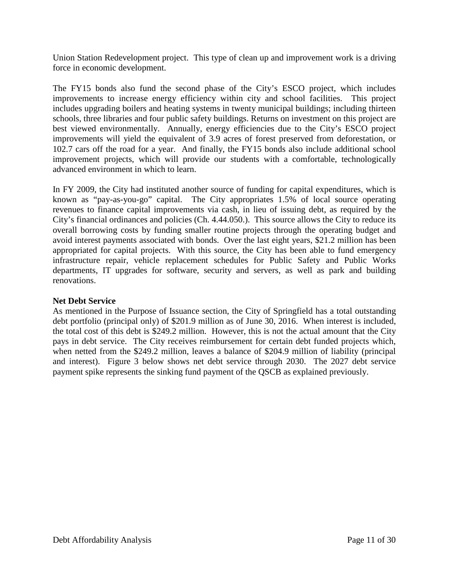Union Station Redevelopment project. This type of clean up and improvement work is a driving force in economic development.

The FY15 bonds also fund the second phase of the City's ESCO project, which includes improvements to increase energy efficiency within city and school facilities. This project includes upgrading boilers and heating systems in twenty municipal buildings; including thirteen schools, three libraries and four public safety buildings. Returns on investment on this project are best viewed environmentally. Annually, energy efficiencies due to the City's ESCO project improvements will yield the equivalent of 3.9 acres of forest preserved from deforestation, or 102.7 cars off the road for a year. And finally, the FY15 bonds also include additional school improvement projects, which will provide our students with a comfortable, technologically advanced environment in which to learn.

In FY 2009, the City had instituted another source of funding for capital expenditures, which is known as "pay-as-you-go" capital. The City appropriates 1.5% of local source operating revenues to finance capital improvements via cash, in lieu of issuing debt, as required by the City's financial ordinances and policies (Ch. 4.44.050.). This source allows the City to reduce its overall borrowing costs by funding smaller routine projects through the operating budget and avoid interest payments associated with bonds. Over the last eight years, \$21.2 million has been appropriated for capital projects. With this source, the City has been able to fund emergency infrastructure repair, vehicle replacement schedules for Public Safety and Public Works departments, IT upgrades for software, security and servers, as well as park and building renovations.

#### **Net Debt Service**

As mentioned in the Purpose of Issuance section, the City of Springfield has a total outstanding debt portfolio (principal only) of \$201.9 million as of June 30, 2016. When interest is included, the total cost of this debt is \$249.2 million. However, this is not the actual amount that the City pays in debt service. The City receives reimbursement for certain debt funded projects which, when netted from the \$249.2 million, leaves a balance of \$204.9 million of liability (principal and interest). Figure 3 below shows net debt service through 2030. The 2027 debt service payment spike represents the sinking fund payment of the QSCB as explained previously.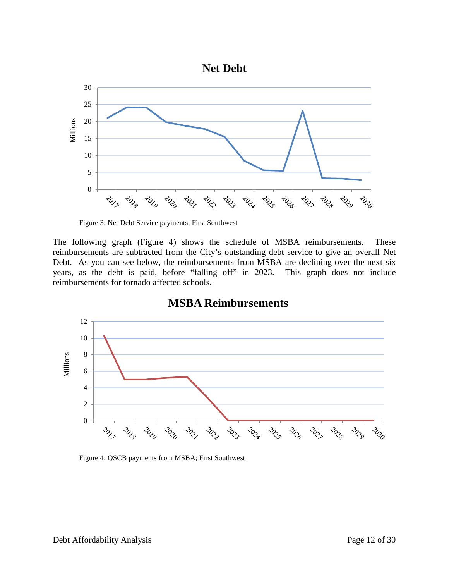

Figure 3: Net Debt Service payments; First Southwest

The following graph (Figure 4) shows the schedule of MSBA reimbursements. These reimbursements are subtracted from the City's outstanding debt service to give an overall Net Debt. As you can see below, the reimbursements from MSBA are declining over the next six years, as the debt is paid, before "falling off" in 2023. This graph does not include reimbursements for tornado affected schools.



## **MSBA Reimbursements**

Figure 4: QSCB payments from MSBA; First Southwest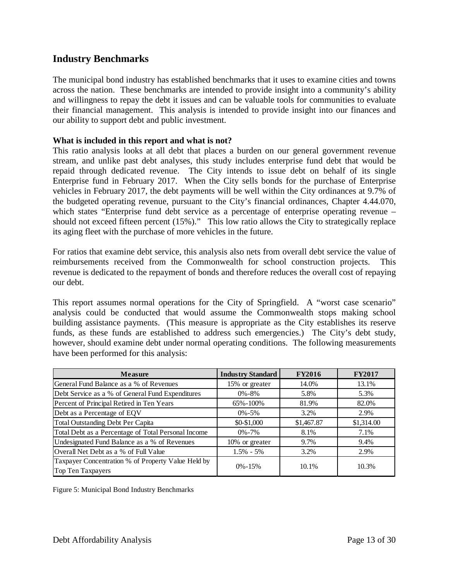#### **Industry Benchmarks**

The municipal bond industry has established benchmarks that it uses to examine cities and towns across the nation. These benchmarks are intended to provide insight into a community's ability and willingness to repay the debt it issues and can be valuable tools for communities to evaluate their financial management. This analysis is intended to provide insight into our finances and our ability to support debt and public investment.

#### **What is included in this report and what is not?**

This ratio analysis looks at all debt that places a burden on our general government revenue stream, and unlike past debt analyses, this study includes enterprise fund debt that would be repaid through dedicated revenue. The City intends to issue debt on behalf of its single Enterprise fund in February 2017. When the City sells bonds for the purchase of Enterprise vehicles in February 2017, the debt payments will be well within the City ordinances at 9.7% of the budgeted operating revenue, pursuant to the City's financial ordinances, Chapter 4.44.070, which states "Enterprise fund debt service as a percentage of enterprise operating revenue – should not exceed fifteen percent (15%)." This low ratio allows the City to strategically replace its aging fleet with the purchase of more vehicles in the future.

For ratios that examine debt service, this analysis also nets from overall debt service the value of reimbursements received from the Commonwealth for school construction projects. This revenue is dedicated to the repayment of bonds and therefore reduces the overall cost of repaying our debt.

This report assumes normal operations for the City of Springfield. A "worst case scenario" analysis could be conducted that would assume the Commonwealth stops making school building assistance payments. (This measure is appropriate as the City establishes its reserve funds, as these funds are established to address such emergencies.) The City's debt study, however, should examine debt under normal operating conditions. The following measurements have been performed for this analysis:

| <b>Measure</b>                                                          | <b>Industry Standard</b> | <b>FY2016</b> | <b>FY2017</b> |
|-------------------------------------------------------------------------|--------------------------|---------------|---------------|
| General Fund Balance as a % of Revenues                                 | 15% or greater           | 14.0%         | 13.1%         |
| Debt Service as a % of General Fund Expenditures                        | $0\% - 8\%$              | 5.8%          | 5.3%          |
| Percent of Principal Retired in Ten Years                               | 65%-100%                 | 81.9%         | 82.0%         |
| Debt as a Percentage of EQV                                             | $0\% - 5\%$              | 3.2%          | 2.9%          |
| <b>Total Outstanding Debt Per Capita</b>                                | \$0-\$1,000              | \$1,467.87    | \$1,314.00    |
| Total Debt as a Percentage of Total Personal Income                     | $0\% - 7\%$              | 8.1%          | 7.1%          |
| Undesignated Fund Balance as a % of Revenues                            | 10% or greater           | 9.7%          | 9.4%          |
| Overall Net Debt as a % of Full Value                                   | $1.5\% - 5\%$            | 3.2%          | 2.9%          |
| Taxpayer Concentration % of Property Value Held by<br>Top Ten Taxpayers | $0\% - 15\%$             | 10.1%         | 10.3%         |

Figure 5: Municipal Bond Industry Benchmarks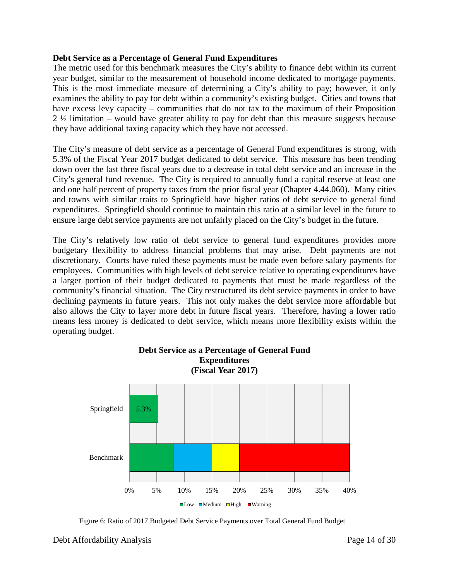#### **Debt Service as a Percentage of General Fund Expenditures**

The metric used for this benchmark measures the City's ability to finance debt within its current year budget, similar to the measurement of household income dedicated to mortgage payments. This is the most immediate measure of determining a City's ability to pay; however, it only examines the ability to pay for debt within a community's existing budget. Cities and towns that have excess levy capacity – communities that do not tax to the maximum of their Proposition 2 ½ limitation – would have greater ability to pay for debt than this measure suggests because they have additional taxing capacity which they have not accessed.

The City's measure of debt service as a percentage of General Fund expenditures is strong, with 5.3% of the Fiscal Year 2017 budget dedicated to debt service. This measure has been trending down over the last three fiscal years due to a decrease in total debt service and an increase in the City's general fund revenue. The City is required to annually fund a capital reserve at least one and one half percent of property taxes from the prior fiscal year (Chapter 4.44.060). Many cities and towns with similar traits to Springfield have higher ratios of debt service to general fund expenditures. Springfield should continue to maintain this ratio at a similar level in the future to ensure large debt service payments are not unfairly placed on the City's budget in the future.

The City's relatively low ratio of debt service to general fund expenditures provides more budgetary flexibility to address financial problems that may arise. Debt payments are not discretionary. Courts have ruled these payments must be made even before salary payments for employees. Communities with high levels of debt service relative to operating expenditures have a larger portion of their budget dedicated to payments that must be made regardless of the community's financial situation. The City restructured its debt service payments in order to have declining payments in future years. This not only makes the debt service more affordable but also allows the City to layer more debt in future fiscal years. Therefore, having a lower ratio means less money is dedicated to debt service, which means more flexibility exists within the operating budget.



Figure 6: Ratio of 2017 Budgeted Debt Service Payments over Total General Fund Budget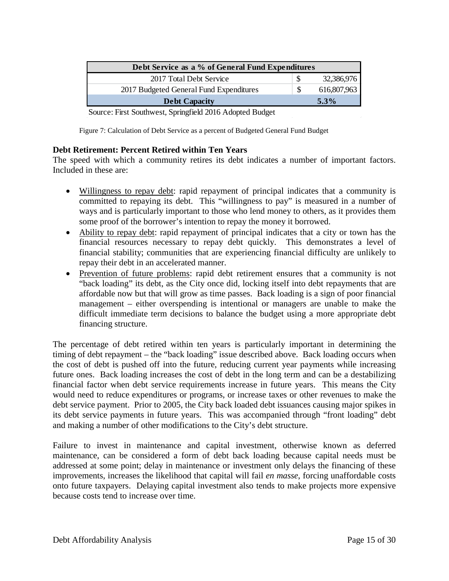| Debt Service as a % of General Fund Expenditures |          |             |
|--------------------------------------------------|----------|-------------|
| 2017 Total Debt Service                          |          | 32,386,976  |
| 2017 Budgeted General Fund Expenditures          | <b>S</b> | 616,807,963 |
| <b>Debt Capacity</b>                             |          | $5.3\%$     |

Source: First Southwest, Springfield 2016 Adopted Budget

Figure 7: Calculation of Debt Service as a percent of Budgeted General Fund Budget

#### **Debt Retirement: Percent Retired within Ten Years**

The speed with which a community retires its debt indicates a number of important factors. Included in these are:

- Willingness to repay debt: rapid repayment of principal indicates that a community is committed to repaying its debt. This "willingness to pay" is measured in a number of ways and is particularly important to those who lend money to others, as it provides them some proof of the borrower's intention to repay the money it borrowed.
- Ability to repay debt: rapid repayment of principal indicates that a city or town has the financial resources necessary to repay debt quickly. This demonstrates a level of financial stability; communities that are experiencing financial difficulty are unlikely to repay their debt in an accelerated manner.
- Prevention of future problems: rapid debt retirement ensures that a community is not "back loading" its debt, as the City once did, locking itself into debt repayments that are affordable now but that will grow as time passes. Back loading is a sign of poor financial management – either overspending is intentional or managers are unable to make the difficult immediate term decisions to balance the budget using a more appropriate debt financing structure.

The percentage of debt retired within ten years is particularly important in determining the timing of debt repayment – the "back loading" issue described above. Back loading occurs when the cost of debt is pushed off into the future, reducing current year payments while increasing future ones. Back loading increases the cost of debt in the long term and can be a destabilizing financial factor when debt service requirements increase in future years. This means the City would need to reduce expenditures or programs, or increase taxes or other revenues to make the debt service payment. Prior to 2005, the City back loaded debt issuances causing major spikes in its debt service payments in future years. This was accompanied through "front loading" debt and making a number of other modifications to the City's debt structure.

Failure to invest in maintenance and capital investment, otherwise known as deferred maintenance, can be considered a form of debt back loading because capital needs must be addressed at some point; delay in maintenance or investment only delays the financing of these improvements, increases the likelihood that capital will fail *en masse*, forcing unaffordable costs onto future taxpayers. Delaying capital investment also tends to make projects more expensive because costs tend to increase over time.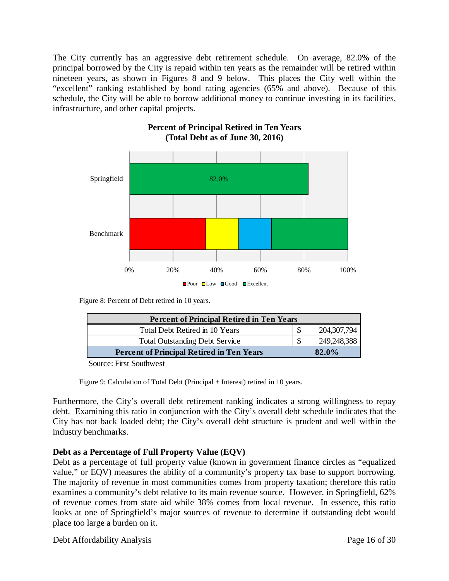The City currently has an aggressive debt retirement schedule. On average, 82.0% of the principal borrowed by the City is repaid within ten years as the remainder will be retired within nineteen years, as shown in Figures 8 and 9 below. This places the City well within the "excellent" ranking established by bond rating agencies (65% and above). Because of this schedule, the City will be able to borrow additional money to continue investing in its facilities, infrastructure, and other capital projects.



#### **Percent of Principal Retired in Ten Years (Total Debt as of June 30, 2016)**

Figure 8: Percent of Debt retired in 10 years.

| <b>Percent of Principal Retired in Ten Years</b> |  |             |
|--------------------------------------------------|--|-------------|
| Total Debt Retired in 10 Years                   |  | 204,307,794 |
| <b>Total Outstanding Debt Service</b>            |  | 249,248,388 |
| <b>Percent of Principal Retired in Ten Years</b> |  | 82.0%       |
| $\sim$                                           |  |             |

Source: First Southwest

Figure 9: Calculation of Total Debt (Principal + Interest) retired in 10 years.

Furthermore, the City's overall debt retirement ranking indicates a strong willingness to repay debt. Examining this ratio in conjunction with the City's overall debt schedule indicates that the City has not back loaded debt; the City's overall debt structure is prudent and well within the industry benchmarks.

#### **Debt as a Percentage of Full Property Value (EQV)**

Debt as a percentage of full property value (known in government finance circles as "equalized value," or EQV) measures the ability of a community's property tax base to support borrowing. The majority of revenue in most communities comes from property taxation; therefore this ratio examines a community's debt relative to its main revenue source. However, in Springfield, 62% of revenue comes from state aid while 38% comes from local revenue. In essence, this ratio looks at one of Springfield's major sources of revenue to determine if outstanding debt would place too large a burden on it.

Debt Affordability Analysis **Page 16 of 30**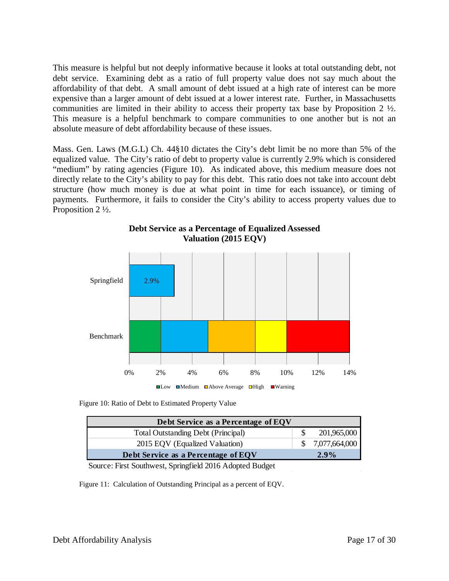This measure is helpful but not deeply informative because it looks at total outstanding debt, not debt service. Examining debt as a ratio of full property value does not say much about the affordability of that debt. A small amount of debt issued at a high rate of interest can be more expensive than a larger amount of debt issued at a lower interest rate. Further, in Massachusetts communities are limited in their ability to access their property tax base by Proposition 2 ½. This measure is a helpful benchmark to compare communities to one another but is not an absolute measure of debt affordability because of these issues.

Mass. Gen. Laws (M.G.L) Ch. 44§10 dictates the City's debt limit be no more than 5% of the equalized value. The City's ratio of debt to property value is currently 2.9% which is considered "medium" by rating agencies (Figure 10). As indicated above, this medium measure does not directly relate to the City's ability to pay for this debt. This ratio does not take into account debt structure (how much money is due at what point in time for each issuance), or timing of payments. Furthermore, it fails to consider the City's ability to access property values due to Proposition 2 ½.



**Debt Service as a Percentage of Equalized Assessed Valuation (2015 EQV)**

Figure 10: Ratio of Debt to Estimated Property Value

| Debt Service as a Percentage of EQV       |               |
|-------------------------------------------|---------------|
| <b>Total Outstanding Debt (Principal)</b> | 201,965,000   |
| 2015 EQV (Equalized Valuation)            | 7,077,664,000 |
| Debt Service as a Percentage of EQV       | $2.9\%$       |

Source: First Southwest, Springfield 2016 Adopted Budget

Figure 11: Calculation of Outstanding Principal as a percent of EQV.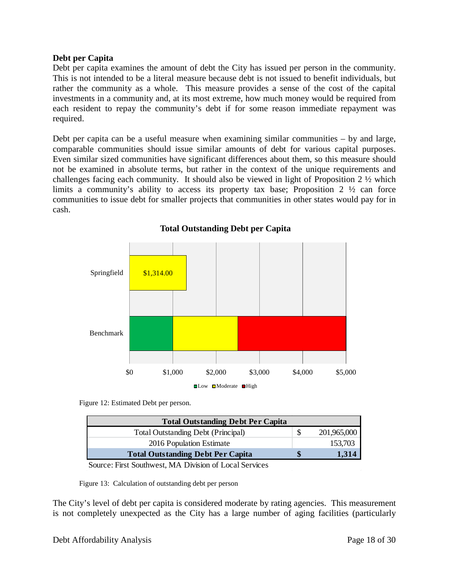#### **Debt per Capita**

Debt per capita examines the amount of debt the City has issued per person in the community. This is not intended to be a literal measure because debt is not issued to benefit individuals, but rather the community as a whole. This measure provides a sense of the cost of the capital investments in a community and, at its most extreme, how much money would be required from each resident to repay the community's debt if for some reason immediate repayment was required.

Debt per capita can be a useful measure when examining similar communities – by and large, comparable communities should issue similar amounts of debt for various capital purposes. Even similar sized communities have significant differences about them, so this measure should not be examined in absolute terms, but rather in the context of the unique requirements and challenges facing each community. It should also be viewed in light of Proposition 2  $\frac{1}{2}$  which limits a community's ability to access its property tax base; Proposition 2 ½ can force communities to issue debt for smaller projects that communities in other states would pay for in cash.



#### **Total Outstanding Debt per Capita**

Figure 12: Estimated Debt per person.

| <b>Total Outstanding Debt Per Capita</b>  |  |             |
|-------------------------------------------|--|-------------|
| <b>Total Outstanding Debt (Principal)</b> |  | 201,965,000 |
| 2016 Population Estimate                  |  | 153,703     |
| <b>Total Outstanding Debt Per Capita</b>  |  | 1,314       |

Source: First Southwest, MA Division of Local Services

Figure 13: Calculation of outstanding debt per person

The City's level of debt per capita is considered moderate by rating agencies. This measurement is not completely unexpected as the City has a large number of aging facilities (particularly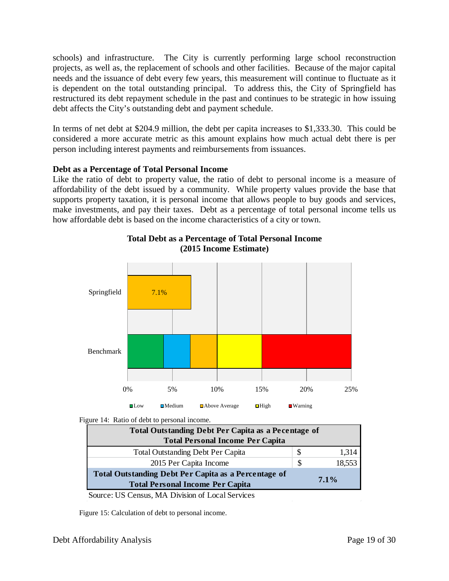schools) and infrastructure. The City is currently performing large school reconstruction projects, as well as, the replacement of schools and other facilities. Because of the major capital needs and the issuance of debt every few years, this measurement will continue to fluctuate as it is dependent on the total outstanding principal. To address this, the City of Springfield has restructured its debt repayment schedule in the past and continues to be strategic in how issuing debt affects the City's outstanding debt and payment schedule.

In terms of net debt at \$204.9 million, the debt per capita increases to \$1,333.30. This could be considered a more accurate metric as this amount explains how much actual debt there is per person including interest payments and reimbursements from issuances.

#### **Debt as a Percentage of Total Personal Income**

Like the ratio of debt to property value, the ratio of debt to personal income is a measure of affordability of the debt issued by a community. While property values provide the base that supports property taxation, it is personal income that allows people to buy goods and services, make investments, and pay their taxes. Debt as a percentage of total personal income tells us how affordable debt is based on the income characteristics of a city or town.



#### **Total Debt as a Percentage of Total Personal Income (2015 Income Estimate)**

Figure 14: Ratio of debt to personal income.

| <b>Total Outstanding Debt Per Capita as a Pecentage of</b>                                             |     |         |
|--------------------------------------------------------------------------------------------------------|-----|---------|
| <b>Total Personal Income Per Capita</b>                                                                |     |         |
| <b>Total Outstanding Debt Per Capita</b>                                                               | S.  | 1.314   |
| 2015 Per Capita Income                                                                                 | \$. | 18,553  |
| <b>Total Outstanding Debt Per Capita as a Percentage of</b><br><b>Total Personal Income Per Capita</b> |     | $7.1\%$ |

Source: US Census, MA Division of Local Services

Figure 15: Calculation of debt to personal income.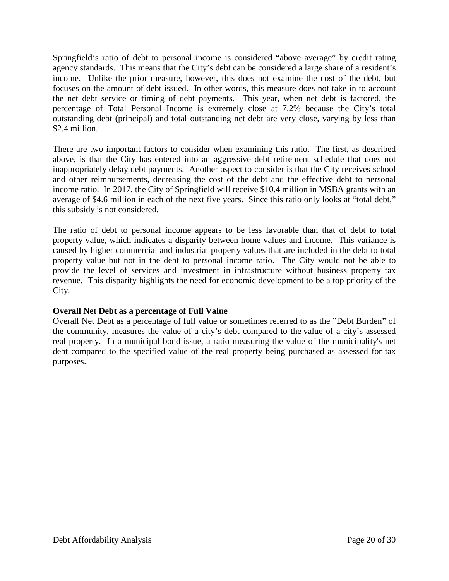Springfield's ratio of debt to personal income is considered "above average" by credit rating agency standards. This means that the City's debt can be considered a large share of a resident's income. Unlike the prior measure, however, this does not examine the cost of the debt, but focuses on the amount of debt issued. In other words, this measure does not take in to account the net debt service or timing of debt payments. This year, when net debt is factored, the percentage of Total Personal Income is extremely close at 7.2% because the City's total outstanding debt (principal) and total outstanding net debt are very close, varying by less than \$2.4 million.

There are two important factors to consider when examining this ratio. The first, as described above, is that the City has entered into an aggressive debt retirement schedule that does not inappropriately delay debt payments. Another aspect to consider is that the City receives school and other reimbursements, decreasing the cost of the debt and the effective debt to personal income ratio. In 2017, the City of Springfield will receive \$10.4 million in MSBA grants with an average of \$4.6 million in each of the next five years. Since this ratio only looks at "total debt," this subsidy is not considered.

The ratio of debt to personal income appears to be less favorable than that of debt to total property value, which indicates a disparity between home values and income. This variance is caused by higher commercial and industrial property values that are included in the debt to total property value but not in the debt to personal income ratio. The City would not be able to provide the level of services and investment in infrastructure without business property tax revenue. This disparity highlights the need for economic development to be a top priority of the City.

#### **Overall Net Debt as a percentage of Full Value**

Overall Net Debt as a percentage of full value or sometimes referred to as the "Debt Burden" of the community, measures the value of a city's debt compared to the value of a city's assessed real property. In a municipal bond issue, a ratio measuring the value of the municipality's net debt compared to the specified value of the real property being purchased as assessed for tax purposes.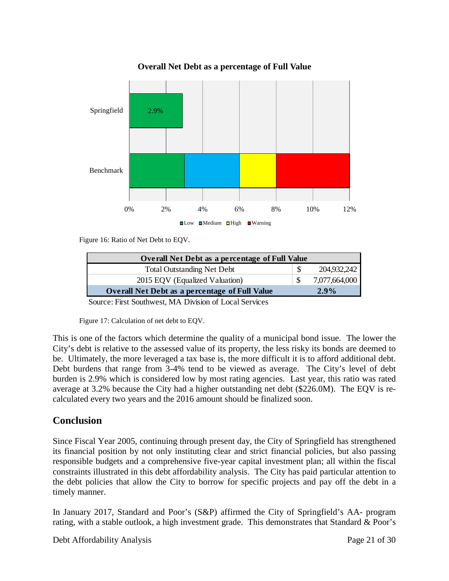

#### **Overall Net Debt as a percentage of Full Value**

Figure 16: Ratio of Net Debt to EQV.

| <b>Overall Net Debt as a percentage of Full Value</b> |               |
|-------------------------------------------------------|---------------|
| <b>Total Outstanding Net Debt</b>                     | 204.932.242   |
| 2015 EQV (Equalized Valuation)                        | 7,077,664,000 |
| <b>Overall Net Debt as a percentage of Full Value</b> | 2.9%          |

Source: First Southwest, MA Division of Local Services

Figure 17: Calculation of net debt to EQV.

This is one of the factors which determine the quality of a municipal bond issue. The lower the City's debt is relative to the assessed value of its property, the less risky its bonds are deemed to be. Ultimately, the more leveraged a tax base is, the more difficult it is to afford additional debt. Debt burdens that range from 3-4% tend to be viewed as average. The City's level of debt burden is 2.9% which is considered low by most rating agencies. Last year, this ratio was rated average at 3.2% because the City had a higher outstanding net debt (\$226.0M). The EQV is recalculated every two years and the 2016 amount should be finalized soon.

#### **Conclusion**

Since Fiscal Year 2005, continuing through present day, the City of Springfield has strengthened its financial position by not only instituting clear and strict financial policies, but also passing responsible budgets and a comprehensive five-year capital investment plan; all within the fiscal constraints illustrated in this debt affordability analysis. The City has paid particular attention to the debt policies that allow the City to borrow for specific projects and pay off the debt in a timely manner.

In January 2017, Standard and Poor's (S&P) affirmed the City of Springfield's AA- program rating, with a stable outlook, a high investment grade. This demonstrates that Standard & Poor's

Debt Affordability Analysis **Page 21 of 30**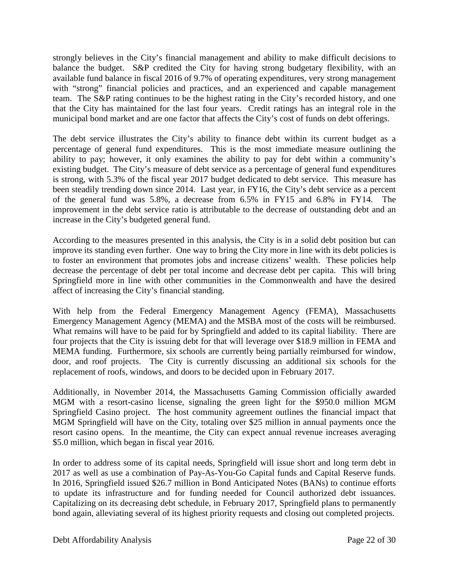strongly believes in the City's financial management and ability to make difficult decisions to balance the budget. S&P credited the City for having strong budgetary flexibility, with an available fund balance in fiscal 2016 of 9.7% of operating expenditures, very strong management with "strong" financial policies and practices, and an experienced and capable management team. The S&P rating continues to be the highest rating in the City's recorded history, and one that the City has maintained for the last four years. Credit ratings has an integral role in the municipal bond market and are one factor that affects the City's cost of funds on debt offerings.

The debt service illustrates the City's ability to finance debt within its current budget as a percentage of general fund expenditures. This is the most immediate measure outlining the ability to pay; however, it only examines the ability to pay for debt within a community's existing budget. The City's measure of debt service as a percentage of general fund expenditures is strong, with 5.3% of the fiscal year 2017 budget dedicated to debt service. This measure has been steadily trending down since 2014. Last year, in FY16, the City's debt service as a percent of the general fund was 5.8%, a decrease from 6.5% in FY15 and 6.8% in FY14. The improvement in the debt service ratio is attributable to the decrease of outstanding debt and an increase in the City's budgeted general fund.

According to the measures presented in this analysis, the City is in a solid debt position but can improve its standing even further. One way to bring the City more in line with its debt policies is to foster an environment that promotes jobs and increase citizens' wealth. These policies help decrease the percentage of debt per total income and decrease debt per capita. This will bring Springfield more in line with other communities in the Commonwealth and have the desired affect of increasing the City's financial standing.

With help from the Federal Emergency Management Agency (FEMA), Massachusetts Emergency Management Agency (MEMA) and the MSBA most of the costs will be reimbursed. What remains will have to be paid for by Springfield and added to its capital liability. There are four projects that the City is issuing debt for that will leverage over \$18.9 million in FEMA and MEMA funding. Furthermore, six schools are currently being partially reimbursed for window, door, and roof projects. The City is currently discussing an additional six schools for the replacement of roofs, windows, and doors to be decided upon in February 2017.

Additionally, in November 2014, the Massachusetts Gaming Commission officially awarded MGM with a resort-casino license, signaling the green light for the \$950.0 million MGM Springfield Casino project. The host community agreement outlines the financial impact that MGM Springfield will have on the City, totaling over \$25 million in annual payments once the resort casino opens. In the meantime, the City can expect annual revenue increases averaging \$5.0 million, which began in fiscal year 2016.

In order to address some of its capital needs, Springfield will issue short and long term debt in 2017 as well as use a combination of Pay-As-You-Go Capital funds and Capital Reserve funds. In 2016, Springfield issued \$26.7 million in Bond Anticipated Notes (BANs) to continue efforts to update its infrastructure and for funding needed for Council authorized debt issuances. Capitalizing on its decreasing debt schedule, in February 2017, Springfield plans to permanently bond again, alleviating several of its highest priority requests and closing out completed projects.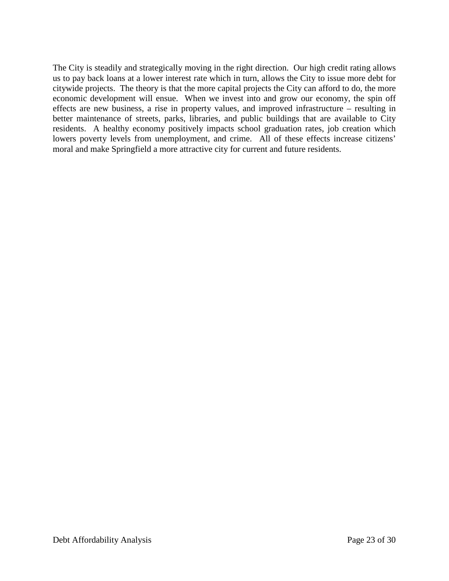The City is steadily and strategically moving in the right direction. Our high credit rating allows us to pay back loans at a lower interest rate which in turn, allows the City to issue more debt for citywide projects. The theory is that the more capital projects the City can afford to do, the more economic development will ensue. When we invest into and grow our economy, the spin off effects are new business, a rise in property values, and improved infrastructure – resulting in better maintenance of streets, parks, libraries, and public buildings that are available to City residents. A healthy economy positively impacts school graduation rates, job creation which lowers poverty levels from unemployment, and crime. All of these effects increase citizens' moral and make Springfield a more attractive city for current and future residents.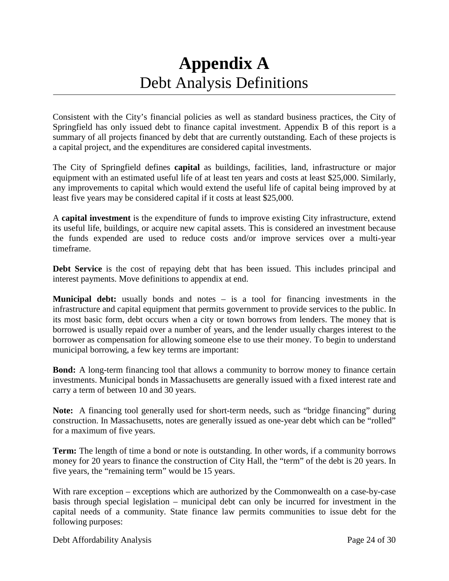## **Appendix A** Debt Analysis Definitions

Consistent with the City's financial policies as well as standard business practices, the City of Springfield has only issued debt to finance capital investment. Appendix B of this report is a summary of all projects financed by debt that are currently outstanding. Each of these projects is a capital project, and the expenditures are considered capital investments.

The City of Springfield defines **capital** as buildings, facilities, land, infrastructure or major equipment with an estimated useful life of at least ten years and costs at least \$25,000. Similarly, any improvements to capital which would extend the useful life of capital being improved by at least five years may be considered capital if it costs at least \$25,000.

A **capital investment** is the expenditure of funds to improve existing City infrastructure, extend its useful life, buildings, or acquire new capital assets. This is considered an investment because the funds expended are used to reduce costs and/or improve services over a multi-year timeframe.

**Debt Service** is the cost of repaying debt that has been issued. This includes principal and interest payments. Move definitions to appendix at end.

**Municipal debt:** usually bonds and notes – is a tool for financing investments in the infrastructure and capital equipment that permits government to provide services to the public. In its most basic form, debt occurs when a city or town borrows from lenders. The money that is borrowed is usually repaid over a number of years, and the lender usually charges interest to the borrower as compensation for allowing someone else to use their money. To begin to understand municipal borrowing, a few key terms are important:

**Bond:** A long-term financing tool that allows a community to borrow money to finance certain investments. Municipal bonds in Massachusetts are generally issued with a fixed interest rate and carry a term of between 10 and 30 years.

**Note:** A financing tool generally used for short-term needs, such as "bridge financing" during construction. In Massachusetts, notes are generally issued as one-year debt which can be "rolled" for a maximum of five years.

**Term:** The length of time a bond or note is outstanding. In other words, if a community borrows money for 20 years to finance the construction of City Hall, the "term" of the debt is 20 years. In five years, the "remaining term" would be 15 years.

With rare exception – exceptions which are authorized by the Commonwealth on a case-by-case basis through special legislation – municipal debt can only be incurred for investment in the capital needs of a community. State finance law permits communities to issue debt for the following purposes: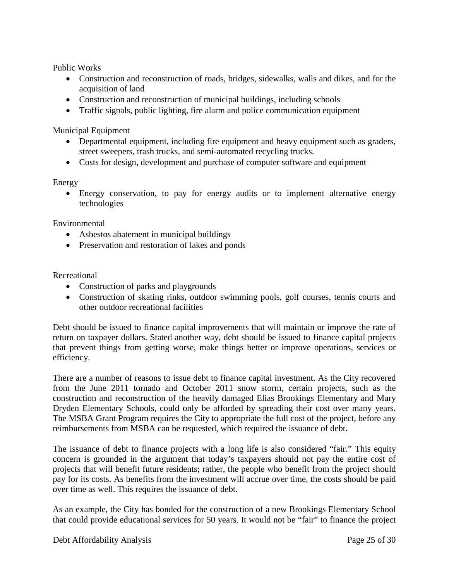Public Works

- Construction and reconstruction of roads, bridges, sidewalks, walls and dikes, and for the acquisition of land
- Construction and reconstruction of municipal buildings, including schools
- Traffic signals, public lighting, fire alarm and police communication equipment

Municipal Equipment

- Departmental equipment, including fire equipment and heavy equipment such as graders, street sweepers, trash trucks, and semi-automated recycling trucks.
- Costs for design, development and purchase of computer software and equipment

#### Energy

• Energy conservation, to pay for energy audits or to implement alternative energy technologies

Environmental

- Asbestos abatement in municipal buildings
- Preservation and restoration of lakes and ponds

Recreational

- Construction of parks and playgrounds
- Construction of skating rinks, outdoor swimming pools, golf courses, tennis courts and other outdoor recreational facilities

Debt should be issued to finance capital improvements that will maintain or improve the rate of return on taxpayer dollars. Stated another way, debt should be issued to finance capital projects that prevent things from getting worse, make things better or improve operations, services or efficiency.

There are a number of reasons to issue debt to finance capital investment. As the City recovered from the June 2011 tornado and October 2011 snow storm, certain projects, such as the construction and reconstruction of the heavily damaged Elias Brookings Elementary and Mary Dryden Elementary Schools, could only be afforded by spreading their cost over many years. The MSBA Grant Program requires the City to appropriate the full cost of the project, before any reimbursements from MSBA can be requested, which required the issuance of debt.

The issuance of debt to finance projects with a long life is also considered "fair." This equity concern is grounded in the argument that today's taxpayers should not pay the entire cost of projects that will benefit future residents; rather, the people who benefit from the project should pay for its costs. As benefits from the investment will accrue over time, the costs should be paid over time as well. This requires the issuance of debt.

As an example, the City has bonded for the construction of a new Brookings Elementary School that could provide educational services for 50 years. It would not be "fair" to finance the project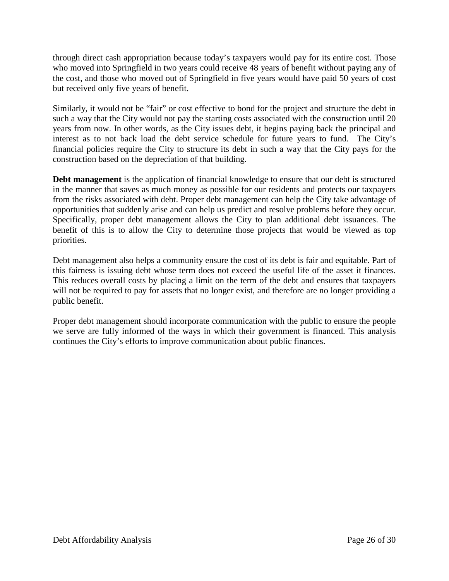through direct cash appropriation because today's taxpayers would pay for its entire cost. Those who moved into Springfield in two years could receive 48 years of benefit without paying any of the cost, and those who moved out of Springfield in five years would have paid 50 years of cost but received only five years of benefit.

Similarly, it would not be "fair" or cost effective to bond for the project and structure the debt in such a way that the City would not pay the starting costs associated with the construction until 20 years from now. In other words, as the City issues debt, it begins paying back the principal and interest as to not back load the debt service schedule for future years to fund. The City's financial policies require the City to structure its debt in such a way that the City pays for the construction based on the depreciation of that building.

**Debt management** is the application of financial knowledge to ensure that our debt is structured in the manner that saves as much money as possible for our residents and protects our taxpayers from the risks associated with debt. Proper debt management can help the City take advantage of opportunities that suddenly arise and can help us predict and resolve problems before they occur. Specifically, proper debt management allows the City to plan additional debt issuances. The benefit of this is to allow the City to determine those projects that would be viewed as top priorities.

Debt management also helps a community ensure the cost of its debt is fair and equitable. Part of this fairness is issuing debt whose term does not exceed the useful life of the asset it finances. This reduces overall costs by placing a limit on the term of the debt and ensures that taxpayers will not be required to pay for assets that no longer exist, and therefore are no longer providing a public benefit.

Proper debt management should incorporate communication with the public to ensure the people we serve are fully informed of the ways in which their government is financed. This analysis continues the City's efforts to improve communication about public finances.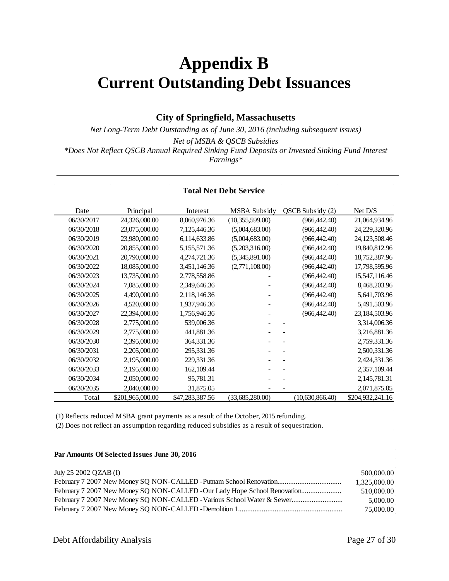## **Appendix B Current Outstanding Debt Issuances**

#### **City of Springfield, Massachusetts**

*Net Long-Term Debt Outstanding as of June 30, 2016 (including subsequent issues) Net of MSBA & QSCB Subsidies \*Does Not Reflect QSCB Annual Required Sinking Fund Deposits or Invested Sinking Fund Interest Earnings\**

#### **Total Net Debt Service**

| Date       | Principal        | Interest        | <b>MSBA Subsidy</b> | QSCB Subsidy (2) | Net $D/S$        |
|------------|------------------|-----------------|---------------------|------------------|------------------|
| 06/30/2017 | 24,326,000.00    | 8,060,976.36    | (10,355,599.00)     | (966, 442.40)    | 21,064,934.96    |
| 06/30/2018 | 23,075,000.00    | 7,125,446.36    | (5,004,683.00)      | (966, 442.40)    | 24,229,320.96    |
| 06/30/2019 | 23,980,000.00    | 6,114,633.86    | (5,004,683.00)      | (966, 442.40)    | 24,123,508.46    |
| 06/30/2020 | 20,855,000.00    | 5,155,571.36    | (5,203,316.00)      | (966, 442.40)    | 19,840,812.96    |
| 06/30/2021 | 20,790,000.00    | 4,274,721.36    | (5,345,891.00)      | (966, 442.40)    | 18,752,387.96    |
| 06/30/2022 | 18,085,000.00    | 3,451,146.36    | (2,771,108.00)      | (966, 442.40)    | 17,798,595.96    |
| 06/30/2023 | 13,735,000.00    | 2,778,558.86    |                     | (966, 442.40)    | 15,547,116.46    |
| 06/30/2024 | 7,085,000.00     | 2,349,646.36    |                     | (966, 442.40)    | 8,468,203.96     |
| 06/30/2025 | 4,490,000.00     | 2,118,146.36    |                     | (966, 442.40)    | 5,641,703.96     |
| 06/30/2026 | 4,520,000.00     | 1,937,946.36    |                     | (966, 442.40)    | 5,491,503.96     |
| 06/30/2027 | 22,394,000.00    | 1,756,946.36    |                     | (966, 442.40)    | 23,184,503.96    |
| 06/30/2028 | 2,775,000.00     | 539,006.36      |                     |                  | 3,314,006.36     |
| 06/30/2029 | 2,775,000.00     | 441,881.36      |                     |                  | 3,216,881.36     |
| 06/30/2030 | 2,395,000.00     | 364,331.36      |                     |                  | 2,759,331.36     |
| 06/30/2031 | 2,205,000.00     | 295,331.36      |                     |                  | 2,500,331.36     |
| 06/30/2032 | 2,195,000.00     | 229,331.36      |                     |                  | 2,424,331.36     |
| 06/30/2033 | 2,195,000.00     | 162, 109.44     |                     |                  | 2,357,109.44     |
| 06/30/2034 | 2,050,000.00     | 95,781.31       |                     |                  | 2, 145, 781. 31  |
| 06/30/2035 | 2,040,000.00     | 31,875.05       |                     |                  | 2,071,875.05     |
| Total      | \$201,965,000.00 | \$47,283,387.56 | (33,685,280.00)     | (10,630,866.40)  | \$204,932,241.16 |

(1) Reflects reduced MSBA grant payments as a result of the October, 2015 refunding.

(2) Does not reflect an assumption regarding reduced subsidies as a result of sequestration.

#### **Par Amounts Of Selected Issues June 30, 2016**

| July 25 2002 QZAB (I)                                                    | 500,000.00   |
|--------------------------------------------------------------------------|--------------|
|                                                                          | 1.325.000.00 |
| February 7 2007 New Money SQ NON-CALLED -Our Lady Hope School Renovation | 510,000.00   |
| February 7 2007 New Money SO NON-CALLED - Various School Water & Sewer   | 5,000.00     |
|                                                                          | 75,000.00    |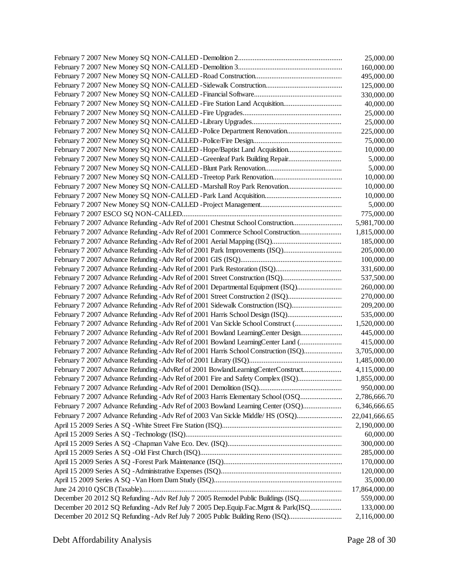|                                                                                      | 25,000.00     |
|--------------------------------------------------------------------------------------|---------------|
|                                                                                      | 160,000.00    |
|                                                                                      | 495,000.00    |
|                                                                                      | 125,000.00    |
|                                                                                      | 330,000.00    |
| February 7 2007 New Money SQ NON-CALLED - Fire Station Land Acquisition              | 40,000.00     |
|                                                                                      | 25,000.00     |
|                                                                                      | 25,000.00     |
| February 7 2007 New Money SQ NON-CALLED - Police Department Renovation               | 225,000.00    |
|                                                                                      | 75,000.00     |
| February 7 2007 New Money SQ NON-CALLED - Hope/Baptist Land Acquisition              | 10,000.00     |
| February 7 2007 New Money SQ NON-CALLED - Greenleaf Park Building Repair             | 5,000.00      |
|                                                                                      | 5,000.00      |
|                                                                                      | 10,000.00     |
| February 7 2007 New Money SQ NON-CALLED - Marshall Roy Park Renovation               | 10,000.00     |
|                                                                                      | 10,000.00     |
|                                                                                      | 5,000.00      |
|                                                                                      | 775,000.00    |
| February 7 2007 Advance Refunding - Adv Ref of 2001 Chestnut School Construction     | 5,981,700.00  |
| February 7 2007 Advance Refunding - Adv Ref of 2001 Commerce School Construction     | 1,815,000.00  |
|                                                                                      | 185,000.00    |
| February 7 2007 Advance Refunding - Adv Ref of 2001 Park Improvements (ISQ)          | 205,000.00    |
|                                                                                      | 100,000.00    |
|                                                                                      | 331,600.00    |
| February 7 2007 Advance Refunding - Adv Ref of 2001 Street Construction (ISQ)        | 537,500.00    |
| February 7 2007 Advance Refunding - Adv Ref of 2001 Departmental Equipment (ISQ)     | 260,000.00    |
| February 7 2007 Advance Refunding - Adv Ref of 2001 Street Construction 2 (ISQ)      | 270,000.00    |
| February 7 2007 Advance Refunding - Adv Ref of 2001 Sidewalk Construction (ISQ)      | 209,200.00    |
| February 7 2007 Advance Refunding - Adv Ref of 2001 Harris School Design (ISQ)       | 535,000.00    |
| February 7 2007 Advance Refunding - Adv Ref of 2001 Van Sickle School Construct (    | 1,520,000.00  |
| February 7 2007 Advance Refunding - Adv Ref of 2001 Bowland Learning Center Design   | 445,000.00    |
| February 7 2007 Advance Refunding - Adv Ref of 2001 Bowland LearningCenter Land (    | 415,000.00    |
| February 7 2007 Advance Refunding - Adv Ref of 2001 Harris School Construction (ISQ) | 3,705,000.00  |
|                                                                                      | 1,485,000.00  |
| February 7 2007 Advance Refunding - AdvRef of 2001 BowlandLearningCenterConstruct    | 4,115,000.00  |
| February 7 2007 Advance Refunding - Adv Ref of 2001 Fire and Safety Complex (ISQ)    | 1,855,000.00  |
|                                                                                      | 950,000.00    |
| February 7 2007 Advance Refunding - Adv Ref of 2003 Harris Elementary School (OSQ    | 2,786,666.70  |
| February 7 2007 Advance Refunding - Adv Ref of 2003 Bowland Learning Center (OSQ)    | 6,346,666.65  |
| February 7 2007 Advance Refunding - Adv Ref of 2003 Van Sickle Middle/ HS (OSQ)      | 22,041,666.65 |
|                                                                                      | 2,190,000.00  |
|                                                                                      | 60,000.00     |
|                                                                                      | 300,000.00    |
|                                                                                      | 285,000.00    |
|                                                                                      | 170,000.00    |
|                                                                                      | 120,000.00    |
|                                                                                      | 35,000.00     |
|                                                                                      | 17,864,000.00 |
| December 20 2012 SQ Refunding - Adv Ref July 7 2005 Remodel Public Buildings (ISQ    | 559,000.00    |
| December 20 2012 SQ Refunding - Adv Ref July 7 2005 Dep.Equip.Fac.Mgmt & Park(ISQ    | 133,000.00    |
| December 20 2012 SQ Refunding - Adv Ref July 7 2005 Public Building Reno (ISQ)       | 2,116,000.00  |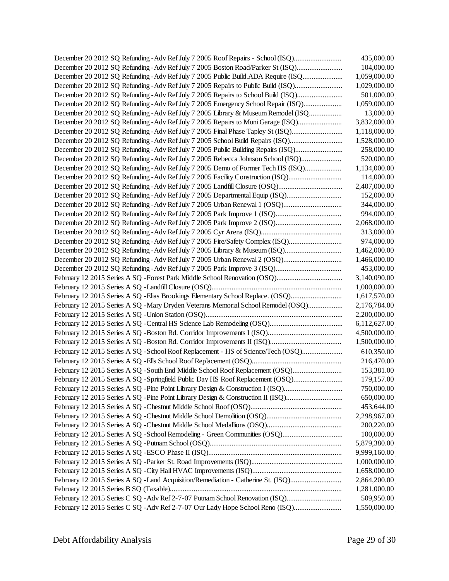| December 20 2012 SQ Refunding - Adv Ref July 7 2005 Roof Repairs - School (ISQ)   | 435,000.00   |
|-----------------------------------------------------------------------------------|--------------|
| December 20 2012 SQ Refunding - Adv Ref July 7 2005 Boston Road/Parker St (ISQ)   | 104,000.00   |
| December 20 2012 SQ Refunding - Adv Ref July 7 2005 Public Build.ADA Require (ISQ | 1,059,000.00 |
| December 20 2012 SQ Refunding - Adv Ref July 7 2005 Repairs to Public Build (ISQ) | 1,029,000.00 |
| December 20 2012 SQ Refunding - Adv Ref July 7 2005 Repairs to School Build (ISQ) | 501,000.00   |
| December 20 2012 SQ Refunding - Adv Ref July 7 2005 Emergency School Repair (ISQ) | 1,059,000.00 |
| December 20 2012 SQ Refunding - Adv Ref July 7 2005 Library & Museum Remodel (ISQ | 13,000.00    |
| December 20 2012 SQ Refunding - Adv Ref July 7 2005 Repairs to Muni Garage (ISQ)  | 3,832,000.00 |
| December 20 2012 SQ Refunding - Adv Ref July 7 2005 Final Phase Tapley St (ISQ)   | 1,118,000.00 |
| December 20 2012 SQ Refunding - Adv Ref July 7 2005 School Build Repairs (ISQ)    | 1,528,000.00 |
| December 20 2012 SQ Refunding - Adv Ref July 7 2005 Public Building Repairs (ISQ) | 258,000.00   |
| December 20 2012 SQ Refunding - Adv Ref July 7 2005 Rebecca Johnson School (ISQ)  | 520,000.00   |
| December 20 2012 SQ Refunding - Adv Ref July 7 2005 Demo of Former Tech HS (ISQ)  | 1,134,000.00 |
| December 20 2012 SQ Refunding - Adv Ref July 7 2005 Facility Construction (ISQ)   | 114,000.00   |
|                                                                                   | 2,407,000.00 |
| December 20 2012 SQ Refunding - Adv Ref July 7 2005 Departmental Equip (ISQ)      | 152,000.00   |
|                                                                                   | 344,000.00   |
|                                                                                   | 994,000.00   |
|                                                                                   | 2,068,000.00 |
|                                                                                   | 313,000.00   |
| December 20 2012 SQ Refunding - Adv Ref July 7 2005 Fire/Safety Complex (ISQ)     | 974,000.00   |
|                                                                                   | 1,462,000.00 |
|                                                                                   | 1,466,000.00 |
|                                                                                   | 453,000.00   |
|                                                                                   | 3,140,090.00 |
|                                                                                   | 1,000,000.00 |
| February 12 2015 Series A SQ - Elias Brookings Elementary School Replace. (OSQ)   | 1,617,570.00 |
| February 12 2015 Series A SQ - Mary Dryden Veterans Memorial School Remodel (OSQ) | 2,176,784.00 |
|                                                                                   | 2,200,000.00 |
|                                                                                   | 6,112,627.00 |
|                                                                                   | 4,500,000.00 |
|                                                                                   | 1,500,000.00 |
| February 12 2015 Series A SQ -School Roof Replacement - HS of Science/Tech (OSQ)  | 610,350.00   |
|                                                                                   | 216,470.00   |
| February 12 2015 Series A SQ -South End Middle School Roof Replacement (OSQ)      | 153,381.00   |
| February 12 2015 Series A SQ - Springfield Public Day HS Roof Replacement (OSQ)   | 179,157.00   |
| February 12 2015 Series A SQ - Pine Point Library Design & Construction I (ISQ)   | 750,000.00   |
| February 12 2015 Series A SQ - Pine Point Library Design & Construction II (ISQ)  | 650,000.00   |
|                                                                                   | 453,644.00   |
|                                                                                   | 2,298,967.00 |
|                                                                                   | 200,220.00   |
|                                                                                   | 100,000.00   |
|                                                                                   | 5,879,380.00 |
|                                                                                   |              |
|                                                                                   | 9,999,160.00 |
|                                                                                   | 1,000,000.00 |
| February 12 2015 Series A SQ -Land Acquisition/Remediation - Catherine St. (ISQ)  | 1,658,000.00 |
|                                                                                   | 2,864,200.00 |
| February 12 2015 Series C SQ - Adv Ref 2-7-07 Putnam School Renovation (ISQ)      | 1,281,000.00 |
|                                                                                   | 509,950.00   |
| February 12 2015 Series C SQ - Adv Ref 2-7-07 Our Lady Hope School Reno (ISQ)     | 1,550,000.00 |